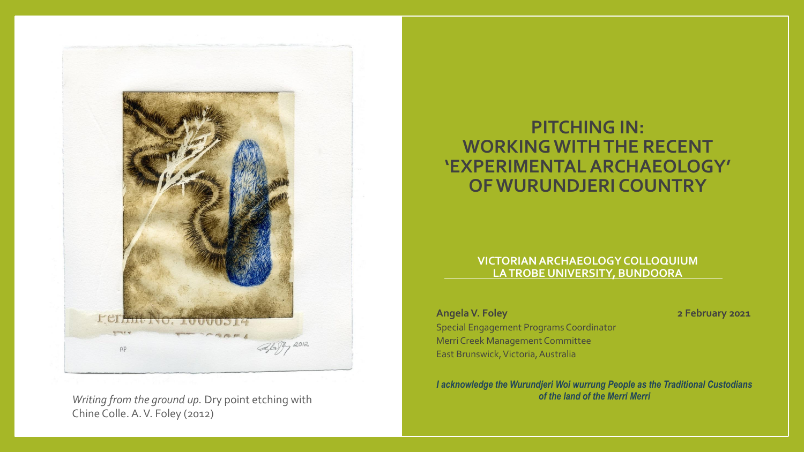

*Writing from the ground up.* Dry point etching with *of the land of the Merri Merri* Chine Colle. A. V. Foley (2012)

#### **PITCHING IN: WORKING WITH THE RECENT 'EXPERIMENTAL ARCHAEOLOGY' OF WURUNDJERI COUNTRY**

#### **VICTORIANARCHAEOLOGY COLLOQUIUM LA TROBE UNIVERSITY, BUNDOORA**

**Angela V. Foley 2 February 2021**

Special Engagement Programs Coordinator Merri Creek Management Committee East Brunswick, Victoria, Australia

*I acknowledge the Wurundjeri Woi wurrung People as the Traditional Custodians*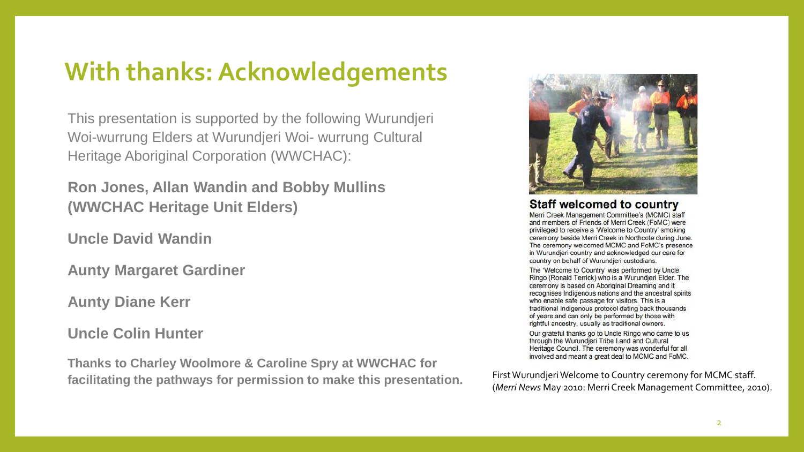### **With thanks: Acknowledgements**

This presentation is supported by the following Wurundjeri Woi-wurrung Elders at Wurundjeri Woi- wurrung Cultural Heritage Aboriginal Corporation (WWCHAC):

**Ron Jones, Allan Wandin and Bobby Mullins (WWCHAC Heritage Unit Elders)** 

**Uncle David Wandin**

**Aunty Margaret Gardiner**

**Aunty Diane Kerr** 

**Uncle Colin Hunter**

**Thanks to Charley Woolmore & Caroline Spry at WWCHAC for facilitating the pathways for permission to make this presentation.** First Wurundjeri Welcome to Country ceremony for MCMC staff.



#### **Staff welcomed to country**

Merri Creek Management Committee's (MCMC) staff and members of Friends of Merri Creek (FoMC) were privileged to receive a 'Welcome to Country' smoking ceremony beside Merri Creek in Northcote during June. The ceremony welcomed MCMC and FoMC's presence in Wurundjeri country and acknowledged our care for country on behalf of Wurundieri custodians.

The 'Welcome to Country' was performed by Uncle Ringo (Ronald Terrick) who is a Wurundjeri Elder. The ceremony is based on Aboriginal Dreaming and it recognises Indigenous nations and the ancestral spirits who enable safe passage for visitors. This is a traditional Indigenous protocol dating back thousands of years and can only be performed by those with rightful ancestry, usually as traditional owners.

Our grateful thanks go to Uncle Ringo who came to us through the Wurundjeri Tribe Land and Cultural Heritage Council. The ceremony was wonderful for all involved and meant a great deal to MCMC and FoMC.

(*Merri News* May 2010: Merri Creek Management Committee, 2010).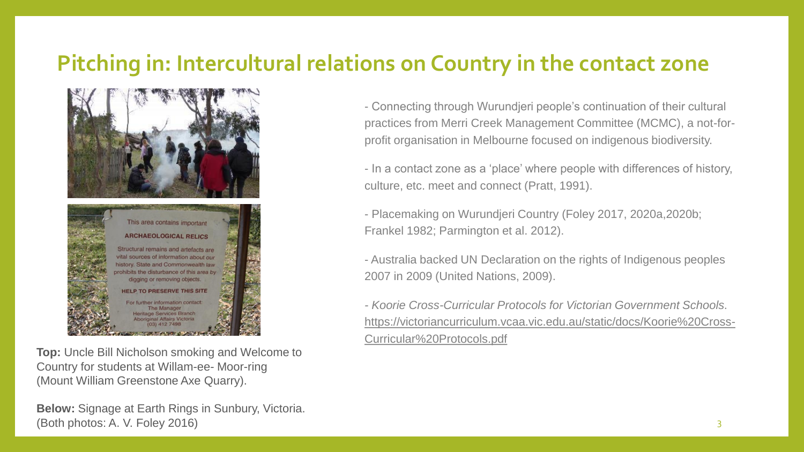### **Pitching in: Intercultural relations on Country in the contact zone**



**Top:** Uncle Bill Nicholson smoking and Welcome to Country for students at Willam-ee- Moor-ring (Mount William Greenstone Axe Quarry).

**Below:** Signage at Earth Rings in Sunbury, Victoria.  $(Both photos: A. V. Folev 2016)$   $3$ 

- Connecting through Wurundjeri people's continuation of their cultural practices from Merri Creek Management Committee (MCMC), a not-forprofit organisation in Melbourne focused on indigenous biodiversity.

- In a contact zone as a 'place' where people with differences of history, culture, etc. meet and connect (Pratt, 1991).

- Placemaking on Wurundjeri Country (Foley 2017, 2020a,2020b; Frankel 1982; Parmington et al. 2012).

- Australia backed UN Declaration on the rights of Indigenous peoples 2007 in 2009 (United Nations, 2009).

*- Koorie Cross-Curricular Protocols for Victorian Government Schools*. [https://victoriancurriculum.vcaa.vic.edu.au/static/docs/Koorie%20Cross-](https://victoriancurriculum.vcaa.vic.edu.au/static/docs/Koorie%20Cross-Curricular%20Protocols.pdf)Curricular%20Protocols.pdf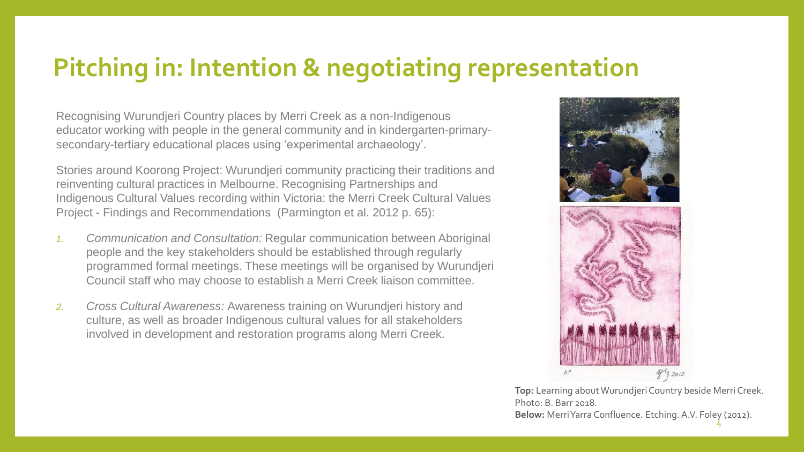### **Pitching in: Intention & negotiating representation**

Recognising Wurundjeri Country places by Merri Creek as a non-Indigenous educator working with people in the general community and in kindergarten-primarysecondary-tertiary educational places using 'experimental archaeology'.

Stories around Koorong Project: Wurundjeri community practicing their traditions and reinventing cultural practices in Melbourne. Recognising Partnerships and Indigenous Cultural Values recording within Victoria: the Merri Creek Cultural Values Project - Findings and Recommendations (Parmington et al. 2012 p. 65):

- *1. Communication and Consultation:* Regular communication between Aboriginal people and the key stakeholders should be established through regularly programmed formal meetings. These meetings will be organised by Wurundjeri Council staff who may choose to establish a Merri Creek liaison committee.
- *2. Cross Cultural Awareness:* Awareness training on Wurundjeri history and culture, as well as broader Indigenous cultural values for all stakeholders involved in development and restoration programs along Merri Creek.



**Top:** Learning about Wurundjeri Country beside Merri Creek. Photo: B. Barr 2018. **Below:** Merri Yarra Confluence. Etching. A.V. Foley (2012). 4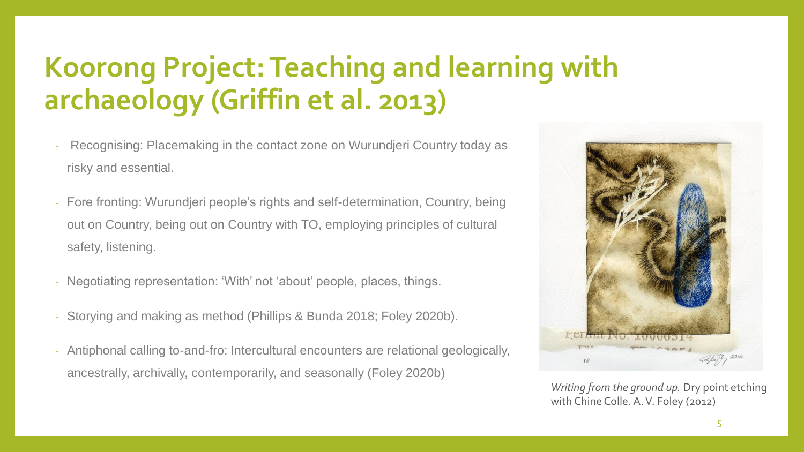## **Koorong Project: Teaching and learning with archaeology (Griffin et al. 2013)**

- Recognising: Placemaking in the contact zone on Wurundjeri Country today as risky and essential.
- Fore fronting: Wurundjeri people's rights and self-determination, Country, being out on Country, being out on Country with TO, employing principles of cultural safety, listening.
- Negotiating representation: 'With' not 'about' people, places, things.
- Storying and making as method (Phillips & Bunda 2018; Foley 2020b).
- Antiphonal calling to-and-fro: Intercultural encounters are relational geologically, ancestrally, archivally, contemporarily, and seasonally (Foley 2020b)



*Writing from the ground up.* Dry point etching with Chine Colle. A. V. Foley (2012)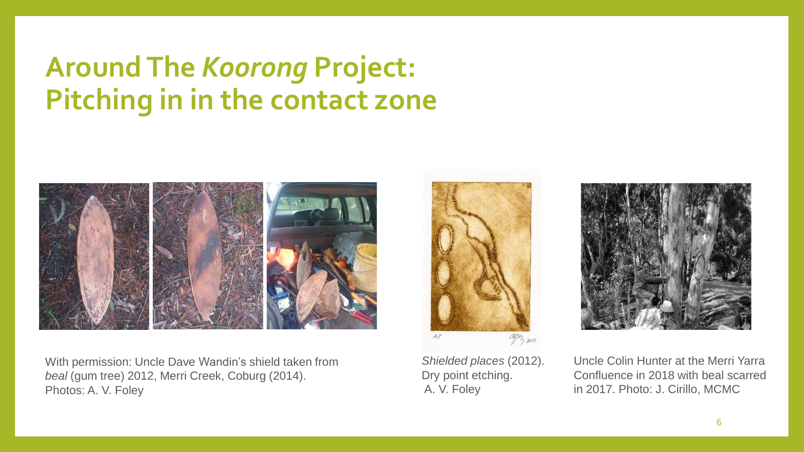### **Around The** *Koorong* **Project: Pitching in in the contact zone**



With permission: Uncle Dave Wandin's shield taken from *beal* (gum tree) 2012, Merri Creek, Coburg (2014). Photos: A. V. Foley

*Shielded places* (2012). Dry point etching. A. V. Foley

agen 2012

 $AP$ 



Uncle Colin Hunter at the Merri Yarra Confluence in 2018 with beal scarred in 2017. Photo: J. Cirillo, MCMC